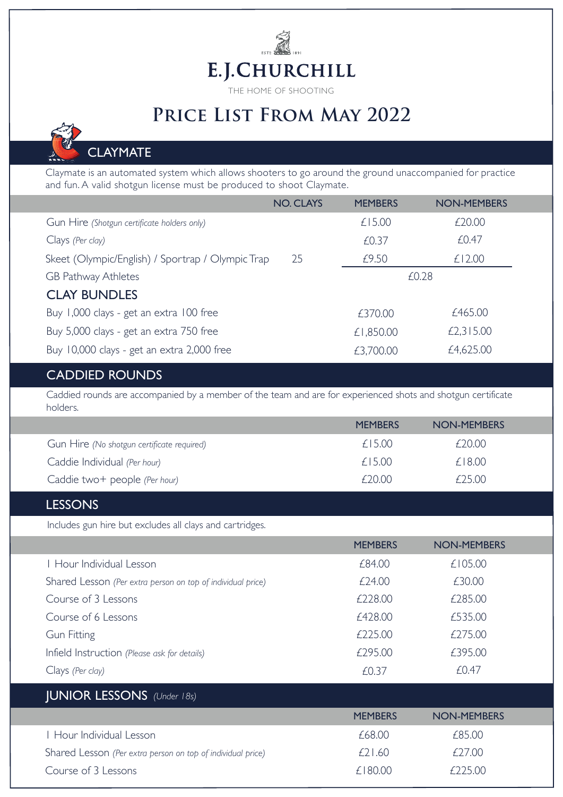# $\tilde{\mathbb{R}}$ E.J.CHURCHILL

THE HOME OF SHOOTING

# **Price List From May 2022**

## **CLAYMATE**

Claymate is an automated system which allows shooters to go around the ground unaccompanied for practice and fun. A valid shotgun license must be produced to shoot Claymate.

|                                                   | <b>NO. CLAYS</b> | <b>MEMBERS</b> | <b>NON-MEMBERS</b> |  |
|---------------------------------------------------|------------------|----------------|--------------------|--|
| Gun Hire (Shotgun certificate holders only)       |                  | £15.00         | £20.00             |  |
| Clays (Per clay)                                  |                  | £0.37          | £0.47              |  |
| Skeet (Olympic/English) / Sportrap / Olympic Trap | 25               | £9.50          | £12.00             |  |
| GB Pathway Athletes                               |                  |                | £0.28              |  |
| <b>CLAY BUNDLES</b>                               |                  |                |                    |  |
| Buy 1,000 clays - get an extra 100 free           |                  | £370.00        | £465.00            |  |
| Buy 5,000 clays - get an extra 750 free           |                  | £1,850.00      | £2,315.00          |  |
| Buy 10,000 clays - get an extra 2,000 free        |                  | £3,700.00      | £4,625.00          |  |

#### CADDIED ROUNDS

Caddied rounds are accompanied by a member of the team and are for experienced shots and shotgun certificate holders.

|                                            | <b>MEMBERS</b> | NON-MEMBERS |
|--------------------------------------------|----------------|-------------|
| Gun Hire (No shotgun certificate required) | f15.00         | £20.00      |
| Caddie Individual (Per hour)               | f15.00         | $£$   8.00  |
| Caddie two+ people (Per hour)              | $f$ 2000       | £25.00      |

#### LESSONS

Includes gun hire but excludes all clays and cartridges.

|                                                             | <b>MEMBERS</b> | <b>NON-MEMBERS</b> |
|-------------------------------------------------------------|----------------|--------------------|
| Hour Individual Lesson                                      | £84.00         | £105.00            |
| Shared Lesson (Per extra person on top of individual price) | £24.00         | £30.00             |
| Course of 3 Lessons                                         | £228.00        | £285.00            |
| Course of 6 Lessons                                         | £428.00        | £535.00            |
| <b>Gun Fitting</b>                                          | £225.00        | £275.00            |
| Infield Instruction (Please ask for details)                | £295.00        | £395.00            |
| Clays (Per clay)                                            | £0.37          | £0.47              |

#### JUNIOR LESSONS *(Under 18s)*

|                                                             | <b>MEMBERS</b> | NON-MEMBERS    |  |
|-------------------------------------------------------------|----------------|----------------|--|
| I Hour Individual Lesson                                    | £68.00         | £85.00         |  |
| Shared Lesson (Per extra person on top of individual price) | f21.60         | <i>f</i> 27.00 |  |
| Course of 3 Lessons                                         | £180.00        | $f$ 22500      |  |